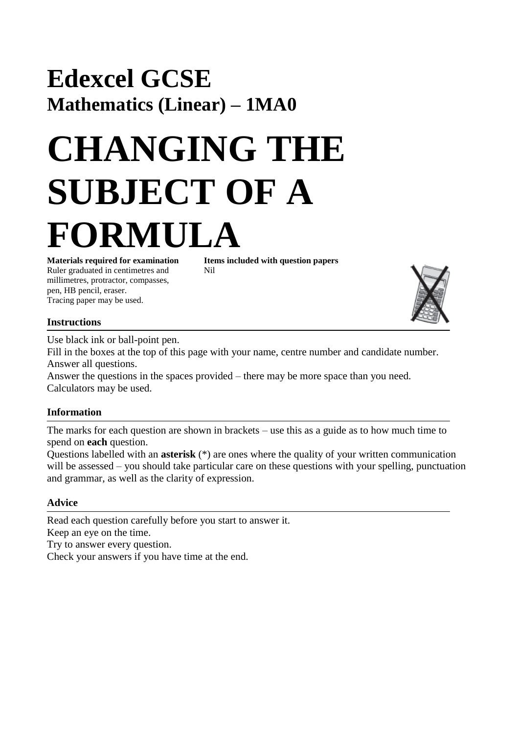# **Edexcel GCSE Mathematics (Linear) – 1MA0**

# **CHANGING THE SUBJECT OF A FORMULA**

Ruler graduated in centimetres and Nil millimetres, protractor, compasses, pen, HB pencil, eraser. Tracing paper may be used.

**Materials required for examination Items included with question papers**

## **Instructions**

Use black ink or ball-point pen.

Fill in the boxes at the top of this page with your name, centre number and candidate number. Answer all questions.

Answer the questions in the spaces provided – there may be more space than you need. Calculators may be used.

### **Information**

The marks for each question are shown in brackets – use this as a guide as to how much time to spend on **each** question.

Questions labelled with an **asterisk** (\*) are ones where the quality of your written communication will be assessed – you should take particular care on these questions with your spelling, punctuation and grammar, as well as the clarity of expression.

### **Advice**

Read each question carefully before you start to answer it. Keep an eye on the time. Try to answer every question. Check your answers if you have time at the end.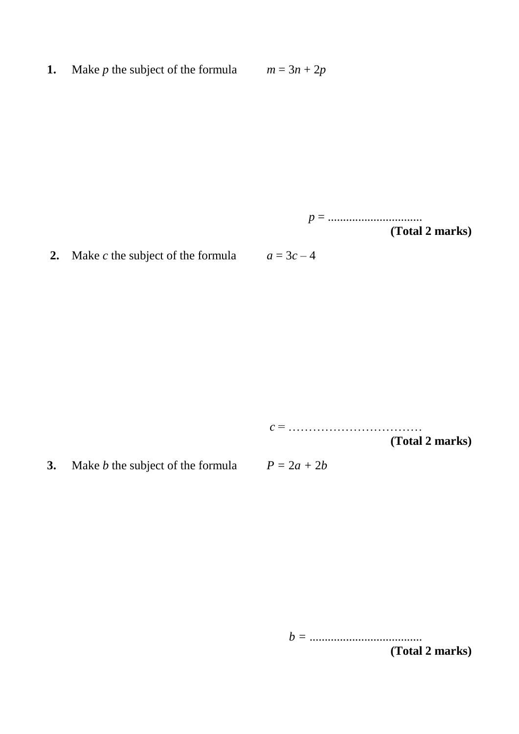**1.** Make *p* the subject of the formula  $m = 3n + 2p$ 

*p* = ............................... **(Total 2 marks)**

**2.** Make *c* the subject of the formula  $a = 3c - 4$ 

*c* = ……………………………

**(Total 2 marks)**

**3.** Make *b* the subject of the formula  $P = 2a + 2b$ 

*b =* .....................................

**(Total 2 marks)**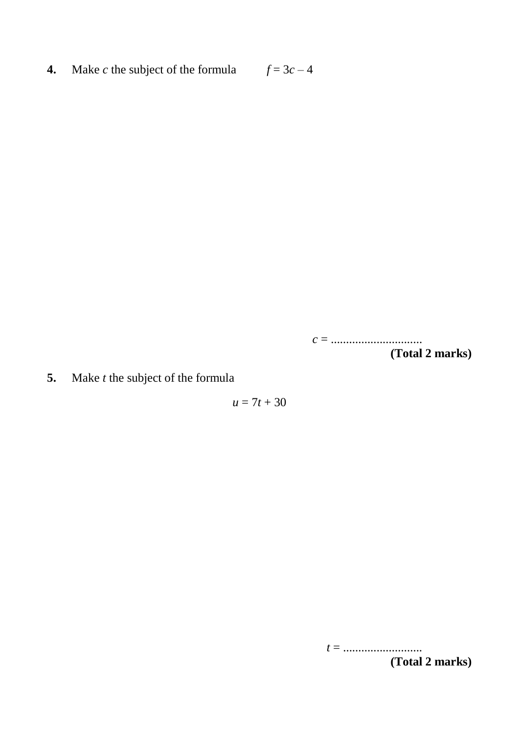**4.** Make *c* the subject of the formula  $f = 3c - 4$ 

*c* = .............................. **(Total 2 marks)**

**5.** Make *t* the subject of the formula

 $u = 7t + 30$ 

*t* = .......................... **(Total 2 marks)**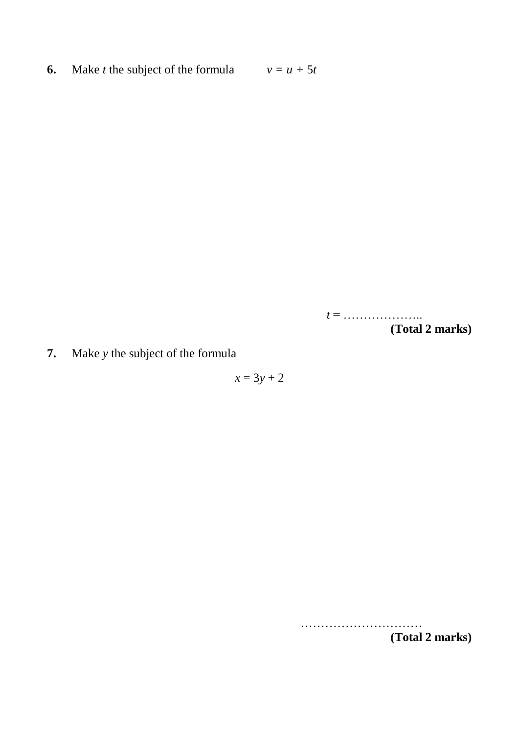**6.** Make *t* the subject of the formula  $v = u + 5t$ 

*t* = ……………….. **(Total 2 marks)**

**7.** Make *y* the subject of the formula

 $x = 3y + 2$ 

………………………… **(Total 2 marks)**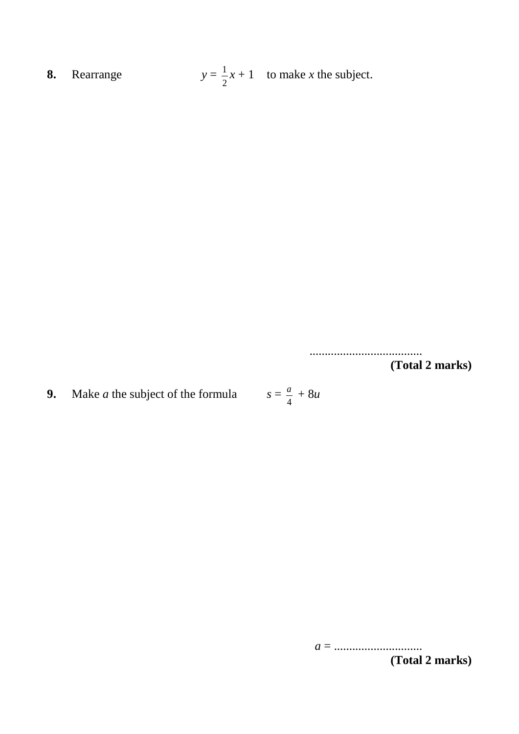**8.** Rearrange  $y = \frac{1}{x}x + 1$  to make *x* the subject. 2 1

> ..................................... **(Total 2 marks)**

**9.** Make *a* the subject of the formula 4 *a*

> *a* = ............................. **(Total 2 marks)**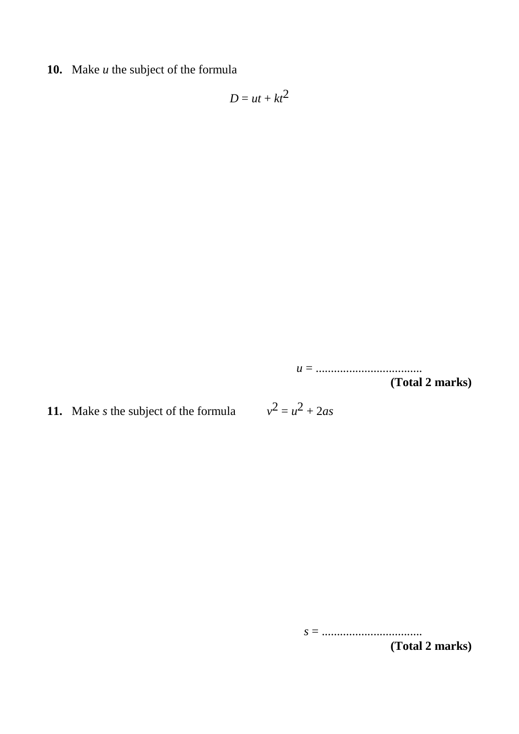**10.** Make *u* the subject of the formula

$$
D=ut+kt^2
$$

*u* = ................................... **(Total 2 marks)**

**11.** Make *s* the subject of the formula *v*

 $2 = u^2 + 2as$ 

*s* = ................................. **(Total 2 marks)**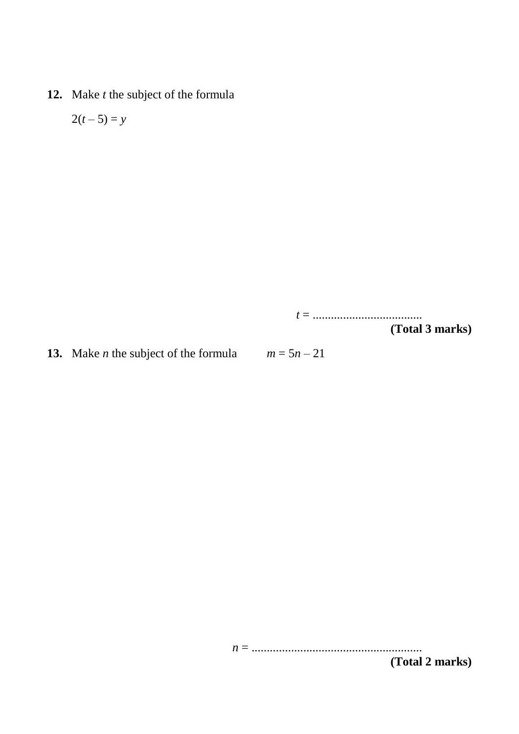**12.** Make *t* the subject of the formula

$$
2(t-5)=y
$$

*t* = ....................................

**(Total 3 marks)**

**13.** Make *n* the subject of the formula  $m = 5n - 21$ 

*n* = ........................................................

**(Total 2 marks)**